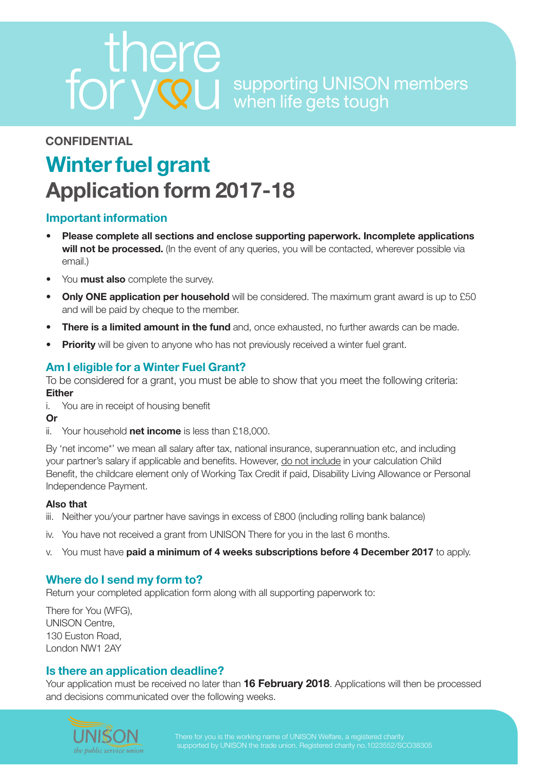supporting UNISON members when life gets tough

# **CONFIDENTIAL**

# **Winter fuel grant Application form 2017-18**

#### **Important information**

- **• Please complete all sections and enclose supporting paperwork. Incomplete applications**  will not be processed. (In the event of any queries, you will be contacted, wherever possible via email.)
- You **must also** complete the survey.
- **Only ONE application per household** will be considered. The maximum grant award is up to £50 and will be paid by cheque to the member.
- **There is a limited amount in the fund** and, once exhausted, no further awards can be made.
- **Priority** will be given to anyone who has not previously received a winter fuel grant.

## **Am I eligible for a Winter Fuel Grant?**

To be considered for a grant, you must be able to show that you meet the following criteria: **Either**

- i. You are in receipt of housing benefit
- **Or**
- ii. Your household **net income** is less than £18,000.

By 'net income\*' we mean all salary after tax, national insurance, superannuation etc, and including your partner's salary if applicable and benefits. However, do not include in your calculation Child Benefit, the childcare element only of Working Tax Credit if paid, Disability Living Allowance or Personal Independence Payment.

#### **Also that**

- iii. Neither you/your partner have savings in excess of £800 (including rolling bank balance)
- iv. You have not received a grant from UNISON There for you in the last 6 months.
- v. You must have **paid a minimum of 4 weeks subscriptions before 4 December 2017** to apply.

#### **Where do I send my form to?**

Return your completed application form along with all supporting paperwork to:

There for You (WFG), UNISON Centre, 130 Euston Road, London NW1 2AY

#### **Is there an application deadline?**

Your application must be received no later than **16 February 2018**. Applications will then be processed and decisions communicated over the following weeks.

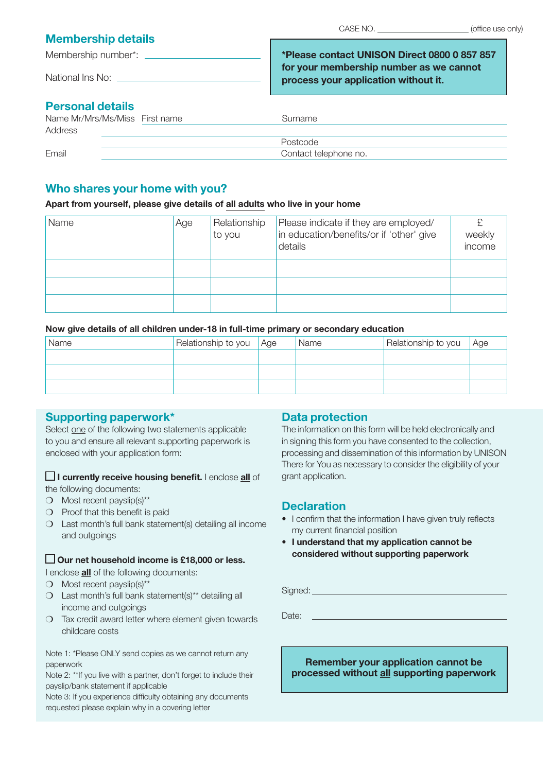#### **Membership details**

Membership number\*:

National Ins No: \_\_\_\_\_

**\*Please contact UNISON Direct 0800 0 857 857 for your membership number as we cannot process your application without it.**

# **Personal details**

| Name Mr/Mrs/Ms/Miss First name | Surname               |  |
|--------------------------------|-----------------------|--|
| Address                        |                       |  |
|                                | Postcode              |  |
| Email                          | Contact telephone no. |  |
|                                |                       |  |

#### **Who shares your home with you?**

#### **Apart from yourself, please give details of all adults who live in your home**

| Name | Age | Relationship<br>to you | Please indicate if they are employed/<br>in education/benefits/or if 'other' give<br>details | weekly<br>income |
|------|-----|------------------------|----------------------------------------------------------------------------------------------|------------------|
|      |     |                        |                                                                                              |                  |
|      |     |                        |                                                                                              |                  |
|      |     |                        |                                                                                              |                  |

#### **Now give details of all children under-18 in full-time primary or secondary education**

| Name | Relationship to you Age | Name | Relationship to you | Age |
|------|-------------------------|------|---------------------|-----|
|      |                         |      |                     |     |
|      |                         |      |                     |     |
|      |                         |      |                     |     |

## **Supporting paperwork\***

Select one of the following two statements applicable to you and ensure all relevant supporting paperwork is enclosed with your application form:

**I currently receive housing benefit.** I enclose **all** of

the following documents:

- ❍ Most recent payslip(s)\*\*
- ❍ Proof that this benefit is paid
- ❍ Last month's full bank statement(s) detailing all income and outgoings

#### **Our net household income is £18,000 or less.**

I enclose **all** of the following documents:

- ❍ Most recent payslip(s)\*\*
- ❍ Last month's full bank statement(s)\*\* detailing all income and outgoings
- ❍ Tax credit award letter where element given towards childcare costs

Note 1: \*Please ONLY send copies as we cannot return any paperwork

Note 2: \*\*If you live with a partner, don't forget to include their payslip/bank statement if applicable

Note 3: If you experience difficulty obtaining any documents requested please explain why in a covering letter

## **Data protection**

The information on this form will be held electronically and in signing this form you have consented to the collection, processing and dissemination of this information by UNISON There for You as necessary to consider the eligibility of your grant application.

## **Declaration**

- I confirm that the information I have given truly reflects my current financial position
- **I understand that my application cannot be considered without supporting paperwork**

Signed:

Date:

**Remember your application cannot be processed without all supporting paperwork**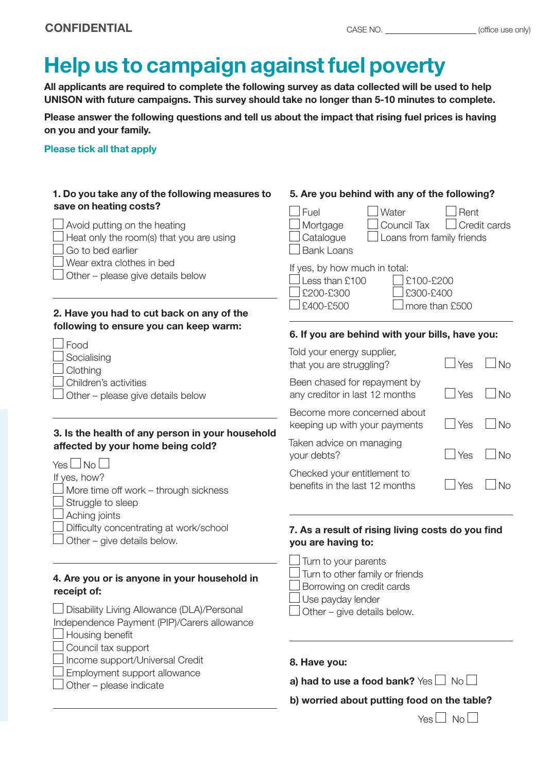# **Help us to campaign against fuel poverty**

**All applicants are required to complete the following survey as data collected will be used to help UNISON with future campaigns. This survey should take no longer than 5-10 minutes to complete.**

**Please answer the following questions and tell us about the impact that rising fuel prices is having on you and your family.**

#### **Please tick all that apply**

| 1. Do you take any of the following measures to<br>save on heating costs?                                                                                                                                                                                                 | 5. Are you behind with any of the following?                                                                                                                                                                              |  |  |  |
|---------------------------------------------------------------------------------------------------------------------------------------------------------------------------------------------------------------------------------------------------------------------------|---------------------------------------------------------------------------------------------------------------------------------------------------------------------------------------------------------------------------|--|--|--|
| Avoid putting on the heating<br>Heat only the room(s) that you are using<br>Go to bed earlier<br>Wear extra clothes in bed<br>Other - please give details below                                                                                                           | Fuel<br>Rent<br>Water<br>Credit cards<br>Mortgage<br>Council Tax<br>Catalogue<br>Loans from family friends<br><b>Bank Loans</b><br>If yes, by how much in total:<br>Less than £100<br>£100-£200<br>£200-£300<br>£300-£400 |  |  |  |
| 2. Have you had to cut back on any of the<br>following to ensure you can keep warm:                                                                                                                                                                                       | £400-£500<br>more than £500<br>6. If you are behind with your bills, have you:                                                                                                                                            |  |  |  |
| Food<br>Socialising<br>Clothing                                                                                                                                                                                                                                           | Told your energy supplier,<br><b>No</b><br>that you are struggling?<br>Yes                                                                                                                                                |  |  |  |
| Children's activities<br>Other - please give details below                                                                                                                                                                                                                | Been chased for repayment by<br><b>No</b><br>any creditor in last 12 months<br>Yes                                                                                                                                        |  |  |  |
| 3. Is the health of any person in your household<br>affected by your home being cold?<br>Yes∟No∣<br>If yes, how?<br>More time off work - through sickness<br>Struggle to sleep<br>Aching joints<br>Difficulty concentrating at work/school<br>Other - give details below. | Become more concerned about<br><b>No</b><br>Yes<br>keeping up with your payments                                                                                                                                          |  |  |  |
|                                                                                                                                                                                                                                                                           | Taken advice on managing<br><b>No</b><br>Yes<br>your debts?                                                                                                                                                               |  |  |  |
|                                                                                                                                                                                                                                                                           | Checked your entitlement to<br><b>No</b><br>benefits in the last 12 months<br>Yes                                                                                                                                         |  |  |  |
|                                                                                                                                                                                                                                                                           | 7. As a result of rising living costs do you find<br>you are having to:                                                                                                                                                   |  |  |  |
| 4. Are you or is anyone in your household in<br>receipt of:<br>Disability Living Allowance (DLA)/Personal<br>Independence Payment (PIP)/Carers allowance<br>Housing benefit                                                                                               | Turn to your parents<br>Turn to other family or friends<br>Borrowing on credit cards<br>Use payday lender<br>Other - give details below.                                                                                  |  |  |  |
| Council tax support<br>Income support/Universal Credit<br>Employment support allowance<br>Other - please indicate                                                                                                                                                         | 8. Have you:<br>a) had to use a food bank? Yes $\Box$ No $\Box$<br>b) worried about putting food on the table?                                                                                                            |  |  |  |

 $Yes \Box No \Box$